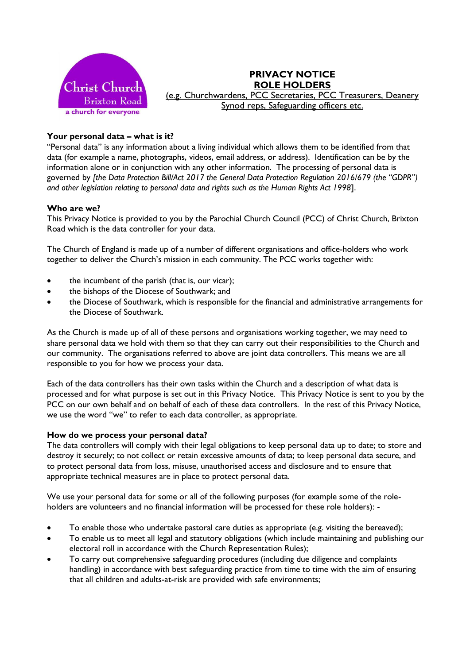

## **PRIVACY NOTICE ROLE HOLDERS** (e.g. Churchwardens, PCC Secretaries, PCC Treasurers, Deanery Synod reps, Safeguarding officers etc.

## **Your personal data – what is it?**

"Personal data" is any information about a living individual which allows them to be identified from that data (for example a name, photographs, videos, email address, or address). Identification can be by the information alone or in conjunction with any other information. The processing of personal data is governed by *[the Data Protection Bill/Act 2017 the General Data Protection Regulation 2016/679 (the "GDPR") and other legislation relating to personal data and rights such as the Human Rights Act 1998*].

### **Who are we?**

This Privacy Notice is provided to you by the Parochial Church Council (PCC) of Christ Church, Brixton Road which is the data controller for your data.

The Church of England is made up of a number of different organisations and office-holders who work together to deliver the Church's mission in each community. The PCC works together with:

- the incumbent of the parish (that is, our vicar);
- the bishops of the Diocese of Southwark; and
- the Diocese of Southwark, which is responsible for the financial and administrative arrangements for the Diocese of Southwark.

As the Church is made up of all of these persons and organisations working together, we may need to share personal data we hold with them so that they can carry out their responsibilities to the Church and our community. The organisations referred to above are joint data controllers. This means we are all responsible to you for how we process your data.

Each of the data controllers has their own tasks within the Church and a description of what data is processed and for what purpose is set out in this Privacy Notice. This Privacy Notice is sent to you by the PCC on our own behalf and on behalf of each of these data controllers. In the rest of this Privacy Notice, we use the word "we" to refer to each data controller, as appropriate.

#### **How do we process your personal data?**

The data controllers will comply with their legal obligations to keep personal data up to date; to store and destroy it securely; to not collect or retain excessive amounts of data; to keep personal data secure, and to protect personal data from loss, misuse, unauthorised access and disclosure and to ensure that appropriate technical measures are in place to protect personal data.

We use your personal data for some or all of the following purposes (for example some of the roleholders are volunteers and no financial information will be processed for these role holders): -

- To enable those who undertake pastoral care duties as appropriate (e.g. visiting the bereaved);
- To enable us to meet all legal and statutory obligations (which include maintaining and publishing our electoral roll in accordance with the Church Representation Rules);
- To carry out comprehensive safeguarding procedures (including due diligence and complaints handling) in accordance with best safeguarding practice from time to time with the aim of ensuring that all children and adults-at-risk are provided with safe environments;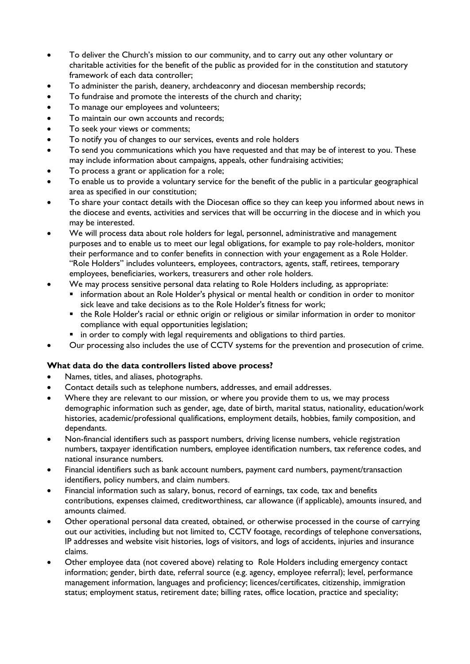- To deliver the Church's mission to our community, and to carry out any other voluntary or charitable activities for the benefit of the public as provided for in the constitution and statutory framework of each data controller;
- To administer the parish, deanery, archdeaconry and diocesan membership records;
- To fundraise and promote the interests of the church and charity;
- To manage our employees and volunteers;
- To maintain our own accounts and records;
- To seek your views or comments;
- To notify you of changes to our services, events and role holders
- To send you communications which you have requested and that may be of interest to you. These may include information about campaigns, appeals, other fundraising activities;
- To process a grant or application for a role;
- To enable us to provide a voluntary service for the benefit of the public in a particular geographical area as specified in our constitution;
- To share your contact details with the Diocesan office so they can keep you informed about news in the diocese and events, activities and services that will be occurring in the diocese and in which you may be interested.
- We will process data about role holders for legal, personnel, administrative and management purposes and to enable us to meet our legal obligations, for example to pay role-holders, monitor their performance and to confer benefits in connection with your engagement as a Role Holder. "Role Holders" includes volunteers, employees, contractors, agents, staff, retirees, temporary employees, beneficiaries, workers, treasurers and other role holders.
- We may process sensitive personal data relating to Role Holders including, as appropriate:
	- information about an Role Holder's physical or mental health or condition in order to monitor sick leave and take decisions as to the Role Holder's fitness for work;
	- the Role Holder's racial or ethnic origin or religious or similar information in order to monitor compliance with equal opportunities legislation;
	- in order to comply with legal requirements and obligations to third parties.
- Our processing also includes the use of CCTV systems for the prevention and prosecution of crime.

## **What data do the data controllers listed above process?**

- Names, titles, and aliases, photographs.
- Contact details such as telephone numbers, addresses, and email addresses.
- Where they are relevant to our mission, or where you provide them to us, we may process demographic information such as gender, age, date of birth, marital status, nationality, education/work histories, academic/professional qualifications, employment details, hobbies, family composition, and dependants.
- Non-financial identifiers such as passport numbers, driving license numbers, vehicle registration numbers, taxpayer identification numbers, employee identification numbers, tax reference codes, and national insurance numbers.
- Financial identifiers such as bank account numbers, payment card numbers, payment/transaction identifiers, policy numbers, and claim numbers.
- Financial information such as salary, bonus, record of earnings, tax code, tax and benefits contributions, expenses claimed, creditworthiness, car allowance (if applicable), amounts insured, and amounts claimed.
- Other operational personal data created, obtained, or otherwise processed in the course of carrying out our activities, including but not limited to, CCTV footage, recordings of telephone conversations, IP addresses and website visit histories, logs of visitors, and logs of accidents, injuries and insurance claims.
- Other employee data (not covered above) relating to Role Holders including emergency contact information; gender, birth date, referral source (e.g. agency, employee referral); level, performance management information, languages and proficiency; licences/certificates, citizenship, immigration status; employment status, retirement date; billing rates, office location, practice and speciality;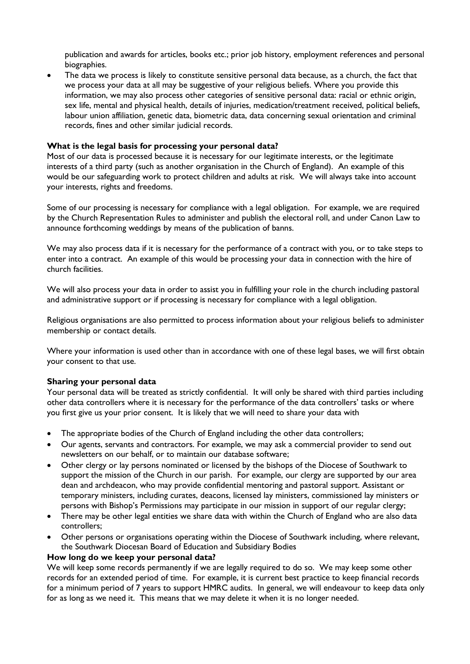publication and awards for articles, books etc.; prior job history, employment references and personal biographies.

• The data we process is likely to constitute sensitive personal data because, as a church, the fact that we process your data at all may be suggestive of your religious beliefs. Where you provide this information, we may also process other categories of sensitive personal data: racial or ethnic origin, sex life, mental and physical health, details of injuries, medication/treatment received, political beliefs, labour union affiliation, genetic data, biometric data, data concerning sexual orientation and criminal records, fines and other similar judicial records.

## **What is the legal basis for processing your personal data?**

Most of our data is processed because it is necessary for our legitimate interests, or the legitimate interests of a third party (such as another organisation in the Church of England). An example of this would be our safeguarding work to protect children and adults at risk. We will always take into account your interests, rights and freedoms.

Some of our processing is necessary for compliance with a legal obligation. For example, we are required by the Church Representation Rules to administer and publish the electoral roll, and under Canon Law to announce forthcoming weddings by means of the publication of banns.

We may also process data if it is necessary for the performance of a contract with you, or to take steps to enter into a contract. An example of this would be processing your data in connection with the hire of church facilities.

We will also process your data in order to assist you in fulfilling your role in the church including pastoral and administrative support or if processing is necessary for compliance with a legal obligation.

Religious organisations are also permitted to process information about your religious beliefs to administer membership or contact details.

Where your information is used other than in accordance with one of these legal bases, we will first obtain your consent to that use.

#### **Sharing your personal data**

Your personal data will be treated as strictly confidential. It will only be shared with third parties including other data controllers where it is necessary for the performance of the data controllers' tasks or where you first give us your prior consent. It is likely that we will need to share your data with

- The appropriate bodies of the Church of England including the other data controllers;
- Our agents, servants and contractors. For example, we may ask a commercial provider to send out newsletters on our behalf, or to maintain our database software;
- Other clergy or lay persons nominated or licensed by the bishops of the Diocese of Southwark to support the mission of the Church in our parish. For example, our clergy are supported by our area dean and archdeacon, who may provide confidential mentoring and pastoral support. Assistant or temporary ministers, including curates, deacons, licensed lay ministers, commissioned lay ministers or persons with Bishop's Permissions may participate in our mission in support of our regular clergy;
- There may be other legal entities we share data with within the Church of England who are also data controllers;
- Other persons or organisations operating within the Diocese of Southwark including, where relevant, the Southwark Diocesan Board of Education and Subsidiary Bodies

#### **How long do we keep your personal data?**

We will keep some records permanently if we are legally required to do so. We may keep some other records for an extended period of time. For example, it is current best practice to keep financial records for a minimum period of 7 years to support HMRC audits. In general, we will endeavour to keep data only for as long as we need it. This means that we may delete it when it is no longer needed.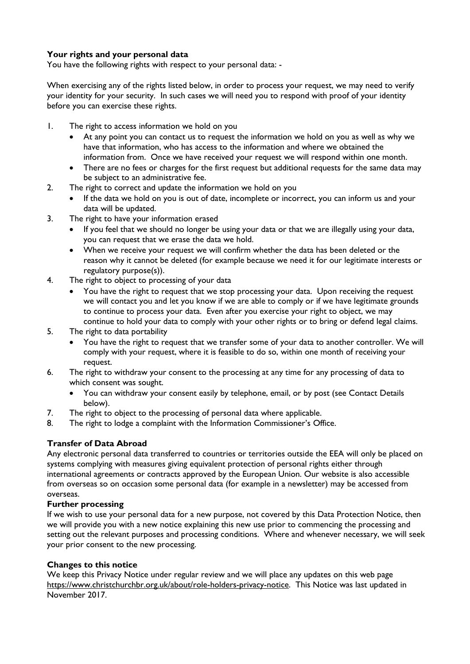# **Your rights and your personal data**

You have the following rights with respect to your personal data: -

When exercising any of the rights listed below, in order to process your request, we may need to verify your identity for your security. In such cases we will need you to respond with proof of your identity before you can exercise these rights.

- 1. The right to access information we hold on you
	- At any point you can contact us to request the information we hold on you as well as why we have that information, who has access to the information and where we obtained the information from. Once we have received your request we will respond within one month.
	- There are no fees or charges for the first request but additional requests for the same data may be subject to an administrative fee.
- 2. The right to correct and update the information we hold on you
	- If the data we hold on you is out of date, incomplete or incorrect, you can inform us and your data will be updated.
- 3. The right to have your information erased
	- If you feel that we should no longer be using your data or that we are illegally using your data, you can request that we erase the data we hold.
	- When we receive your request we will confirm whether the data has been deleted or the reason why it cannot be deleted (for example because we need it for our legitimate interests or regulatory purpose(s)).
- 4. The right to object to processing of your data
	- You have the right to request that we stop processing your data. Upon receiving the request we will contact you and let you know if we are able to comply or if we have legitimate grounds to continue to process your data. Even after you exercise your right to object, we may continue to hold your data to comply with your other rights or to bring or defend legal claims.
- 5. The right to data portability
	- You have the right to request that we transfer some of your data to another controller. We will comply with your request, where it is feasible to do so, within one month of receiving your request.
- 6. The right to withdraw your consent to the processing at any time for any processing of data to which consent was sought.
	- You can withdraw your consent easily by telephone, email, or by post (see Contact Details below).
- 7. The right to object to the processing of personal data where applicable.
- 8. The right to lodge a complaint with the Information Commissioner's Office.

## **Transfer of Data Abroad**

Any electronic personal data transferred to countries or territories outside the EEA will only be placed on systems complying with measures giving equivalent protection of personal rights either through international agreements or contracts approved by the European Union. Our website is also accessible from overseas so on occasion some personal data (for example in a newsletter) may be accessed from overseas.

#### **Further processing**

If we wish to use your personal data for a new purpose, not covered by this Data Protection Notice, then we will provide you with a new notice explaining this new use prior to commencing the processing and setting out the relevant purposes and processing conditions. Where and whenever necessary, we will seek your prior consent to the new processing.

## **Changes to this notice**

We keep this Privacy Notice under regular review and we will place any updates on this web page https://www.christchurchbr.org.uk/about/role-holders-privacy-notice. This Notice was last updated in November 2017.